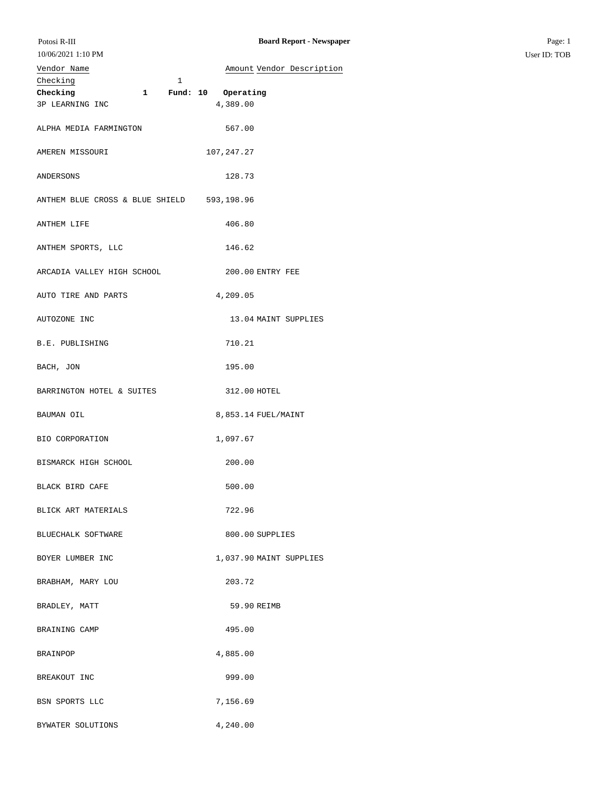|             | $10/00/2021$ 1.10 1.10 |
|-------------|------------------------|
| Vendor Name |                        |

| Vendor Name                                                                                                                                                                                 | Amount Vendor Description |
|---------------------------------------------------------------------------------------------------------------------------------------------------------------------------------------------|---------------------------|
| $\begin{tabular}{lcccccc} \textbf{Checking} & & & & & & & & \textcolor{red}{\textbf{Thecking}}\\ \hline \textbf{Checking} & & & 1 & & \textbf{Fund: 10} & \textbf{Operating} \end{tabular}$ |                           |
|                                                                                                                                                                                             |                           |
| 3P LEARNING INC                                                                                                                                                                             | 4,389.00                  |
|                                                                                                                                                                                             |                           |
| ALPHA MEDIA FARMINGTON                                                                                                                                                                      | 567.00                    |
|                                                                                                                                                                                             |                           |
|                                                                                                                                                                                             |                           |
| AMEREN MISSOURI                                                                                                                                                                             | 107,247.27                |
|                                                                                                                                                                                             |                           |
| ANDERSONS                                                                                                                                                                                   | 128.73                    |
|                                                                                                                                                                                             |                           |
| ANTHEM BLUE CROSS & BLUE SHIELD 593,198.96                                                                                                                                                  |                           |
|                                                                                                                                                                                             |                           |
| ANTHEM LIFE                                                                                                                                                                                 | 406.80                    |
|                                                                                                                                                                                             |                           |
| ANTHEM SPORTS, LLC                                                                                                                                                                          | 146.62                    |
|                                                                                                                                                                                             |                           |
|                                                                                                                                                                                             |                           |
| ARCADIA VALLEY HIGH SCHOOL                                                                                                                                                                  | 200.00 ENTRY FEE          |
|                                                                                                                                                                                             |                           |
| AUTO TIRE AND PARTS                                                                                                                                                                         | 4,209.05                  |
|                                                                                                                                                                                             |                           |
| AUTOZONE INC                                                                                                                                                                                | 13.04 MAINT SUPPLIES      |
|                                                                                                                                                                                             |                           |
| B.E. PUBLISHING                                                                                                                                                                             | 710.21                    |
|                                                                                                                                                                                             |                           |
| BACH, JON                                                                                                                                                                                   | 195.00                    |
|                                                                                                                                                                                             |                           |
|                                                                                                                                                                                             |                           |
| BARRINGTON HOTEL & SUITES                                                                                                                                                                   | 312.00 HOTEL              |
|                                                                                                                                                                                             |                           |
| BAUMAN OIL                                                                                                                                                                                  | 8,853.14 FUEL/MAINT       |
|                                                                                                                                                                                             |                           |
| BIO CORPORATION                                                                                                                                                                             | 1,097.67                  |
|                                                                                                                                                                                             |                           |
| BISMARCK HIGH SCHOOL                                                                                                                                                                        | 200.00                    |
|                                                                                                                                                                                             |                           |
| BLACK BIRD CAFE                                                                                                                                                                             | 500.00                    |
|                                                                                                                                                                                             |                           |
|                                                                                                                                                                                             |                           |
| BLICK ART MATERIALS                                                                                                                                                                         | 722.96                    |
|                                                                                                                                                                                             |                           |
| BLUECHALK SOFTWARE                                                                                                                                                                          | 800.00 SUPPLIES           |
|                                                                                                                                                                                             |                           |
| BOYER LUMBER INC                                                                                                                                                                            | 1,037.90 MAINT SUPPLIES   |
|                                                                                                                                                                                             |                           |
| BRABHAM, MARY LOU                                                                                                                                                                           | 203.72                    |
|                                                                                                                                                                                             |                           |
| BRADLEY, MATT                                                                                                                                                                               | 59.90 REIMB               |
|                                                                                                                                                                                             |                           |
|                                                                                                                                                                                             |                           |
| BRAINING CAMP                                                                                                                                                                               | 495.00                    |
|                                                                                                                                                                                             |                           |
| <b>BRAINPOP</b>                                                                                                                                                                             | 4,885.00                  |
|                                                                                                                                                                                             |                           |
| BREAKOUT INC                                                                                                                                                                                | 999.00                    |
|                                                                                                                                                                                             |                           |
| BSN SPORTS LLC                                                                                                                                                                              | 7,156.69                  |
|                                                                                                                                                                                             |                           |
| BYWATER SOLUTIONS                                                                                                                                                                           | 4,240.00                  |
|                                                                                                                                                                                             |                           |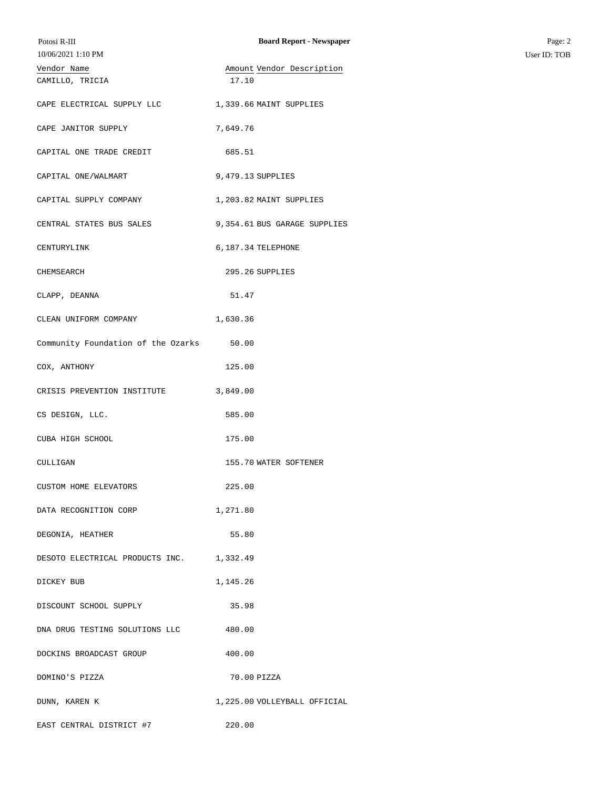| Potosi R-III<br>10/06/2021 1:10 PM       | <b>Board Report - Newspaper</b>    | Page: 2<br>User ID: TOB |
|------------------------------------------|------------------------------------|-------------------------|
| Vendor Name<br>CAMILLO, TRICIA           | Amount Vendor Description<br>17.10 |                         |
| CAPE ELECTRICAL SUPPLY LLC               | 1,339.66 MAINT SUPPLIES            |                         |
| CAPE JANITOR SUPPLY                      | 7,649.76                           |                         |
| CAPITAL ONE TRADE CREDIT                 | 685.51                             |                         |
| CAPITAL ONE/WALMART                      | 9,479.13 SUPPLIES                  |                         |
| CAPITAL SUPPLY COMPANY                   | 1,203.82 MAINT SUPPLIES            |                         |
| CENTRAL STATES BUS SALES                 | 9,354.61 BUS GARAGE SUPPLIES       |                         |
| CENTURYLINK                              | 6,187.34 TELEPHONE                 |                         |
| CHEMSEARCH                               | 295.26 SUPPLIES                    |                         |
| CLAPP, DEANNA                            | 51.47                              |                         |
| CLEAN UNIFORM COMPANY                    | 1,630.36                           |                         |
| Community Foundation of the Ozarks 50.00 |                                    |                         |
| COX, ANTHONY                             | 125.00                             |                         |
| CRISIS PREVENTION INSTITUTE 3,849.00     |                                    |                         |
| CS DESIGN, LLC.                          | 585.00                             |                         |
| CUBA HIGH SCHOOL                         | 175.00                             |                         |
| CULLIGAN                                 | 155.70 WATER SOFTENER              |                         |
| CUSTOM HOME ELEVATORS                    | 225.00                             |                         |
| DATA RECOGNITION CORP                    | 1,271.80                           |                         |
| DEGONIA, HEATHER                         | 55.80                              |                         |
| DESOTO ELECTRICAL PRODUCTS INC. 1,332.49 |                                    |                         |
| DICKEY BUB                               | 1,145.26                           |                         |
| DISCOUNT SCHOOL SUPPLY                   | 35.98                              |                         |
| DNA DRUG TESTING SOLUTIONS LLC           | 480.00                             |                         |
| DOCKINS BROADCAST GROUP                  | 400.00                             |                         |
| DOMINO'S PIZZA                           | 70.00 PIZZA                        |                         |
| DUNN, KAREN K                            | 1,225.00 VOLLEYBALL OFFICIAL       |                         |
| EAST CENTRAL DISTRICT #7                 | 220.00                             |                         |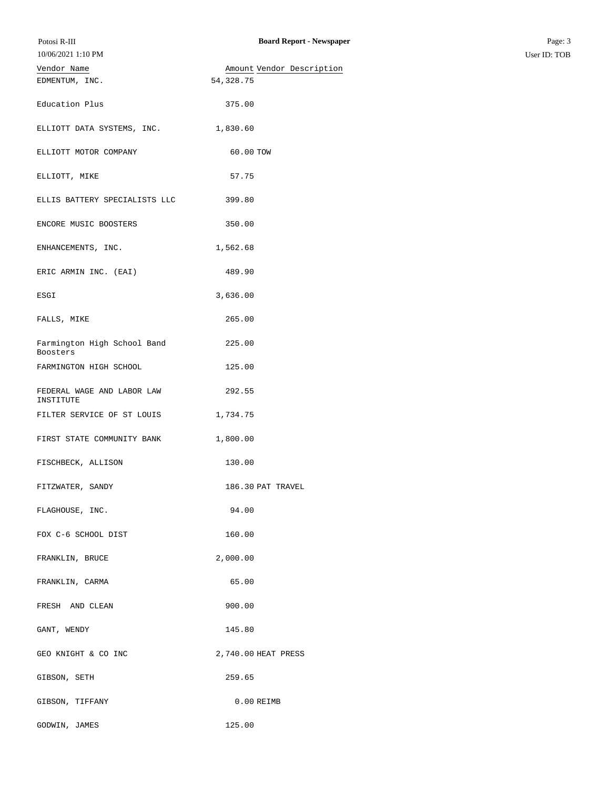| 10/06/2021 1:10 PM                      |                           |
|-----------------------------------------|---------------------------|
| Vendor Name                             | Amount Vendor Description |
| EDMENTUM, INC.                          | 54, 328. 75               |
| Education Plus                          | 375.00                    |
| ELLIOTT DATA SYSTEMS, INC.              | 1,830.60                  |
| ELLIOTT MOTOR COMPANY                   | 60.00 TOW                 |
| ELLIOTT, MIKE                           | 57.75                     |
| ELLIS BATTERY SPECIALISTS LLC           | 399.80                    |
| ENCORE MUSIC BOOSTERS                   | 350.00                    |
| ENHANCEMENTS, INC.                      | 1,562.68                  |
| ERIC ARMIN INC. (EAI)                   | 489.90                    |
| ESGI                                    | 3,636.00                  |
| FALLS, MIKE                             | 265.00                    |
| Farmington High School Band<br>Boosters | 225.00                    |
| FARMINGTON HIGH SCHOOL                  | 125.00                    |
| FEDERAL WAGE AND LABOR LAW<br>INSTITUTE | 292.55                    |
| FILTER SERVICE OF ST LOUIS              | 1,734.75                  |
| FIRST STATE COMMUNITY BANK              | 1,800.00                  |
| FISCHBECK, ALLISON                      | 130.00                    |
| FITZWATER, SANDY                        | 186.30 PAT TRAVEL         |
| FLAGHOUSE, INC.                         | 94.00                     |
| FOX C-6 SCHOOL DIST                     | 160.00                    |
| FRANKLIN, BRUCE                         | 2,000.00                  |
| FRANKLIN, CARMA                         | 65.00                     |
| FRESH AND CLEAN                         | 900.00                    |
| GANT, WENDY                             | 145.80                    |
| GEO KNIGHT & CO INC                     | 2,740.00 HEAT PRESS       |
| GIBSON, SETH                            | 259.65                    |
| GIBSON, TIFFANY                         | 0.00 REIMB                |
| GODWIN, JAMES                           | 125.00                    |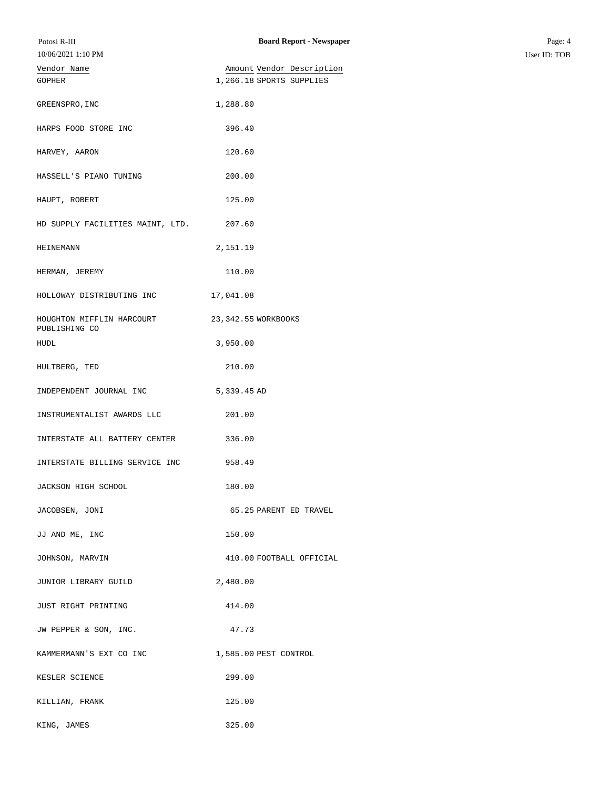| Potosi R-III                               | <b>Board Report - Newspaper</b> | Page: 4      |
|--------------------------------------------|---------------------------------|--------------|
| 10/06/2021 1:10 PM                         |                                 | User ID: TOB |
| Vendor Name                                | Amount Vendor Description       |              |
| GOPHER                                     | 1,266.18 SPORTS SUPPLIES        |              |
| GREENSPRO, INC                             | 1,288.80                        |              |
| HARPS FOOD STORE INC                       | 396.40                          |              |
| HARVEY, AARON                              | 120.60                          |              |
| HASSELL'S PIANO TUNING                     | 200.00                          |              |
| HAUPT, ROBERT                              | 125.00                          |              |
| HD SUPPLY FACILITIES MAINT, LTD.           | 207.60                          |              |
| HEINEMANN                                  | 2,151.19                        |              |
| HERMAN, JEREMY                             | 110.00                          |              |
| HOLLOWAY DISTRIBUTING INC                  | 17,041.08                       |              |
| HOUGHTON MIFFLIN HARCOURT<br>PUBLISHING CO | 23, 342.55 WORKBOOKS            |              |
| HUDL                                       | 3,950.00                        |              |
| HULTBERG, TED                              | 210.00                          |              |
| INDEPENDENT JOURNAL INC                    | 5,339.45 AD                     |              |
| INSTRUMENTALIST AWARDS LLC                 | 201.00                          |              |
| INTERSTATE ALL BATTERY CENTER              | 336.00                          |              |
| INTERSTATE BILLING SERVICE INC             | 958.49                          |              |
| JACKSON HIGH SCHOOL                        | 180.00                          |              |
| JACOBSEN, JONI                             | 65.25 PARENT ED TRAVEL          |              |
| JJ AND ME, INC                             | 150.00                          |              |
| JOHNSON, MARVIN                            | 410.00 FOOTBALL OFFICIAL        |              |
| JUNIOR LIBRARY GUILD                       | 2,480.00                        |              |
| JUST RIGHT PRINTING                        | 414.00                          |              |
| JW PEPPER & SON, INC.                      | 47.73                           |              |
| KAMMERMANN'S EXT CO INC                    | 1,585.00 PEST CONTROL           |              |
| KESLER SCIENCE                             | 299.00                          |              |
| KILLIAN, FRANK                             | 125.00                          |              |
| KING, JAMES                                | 325.00                          |              |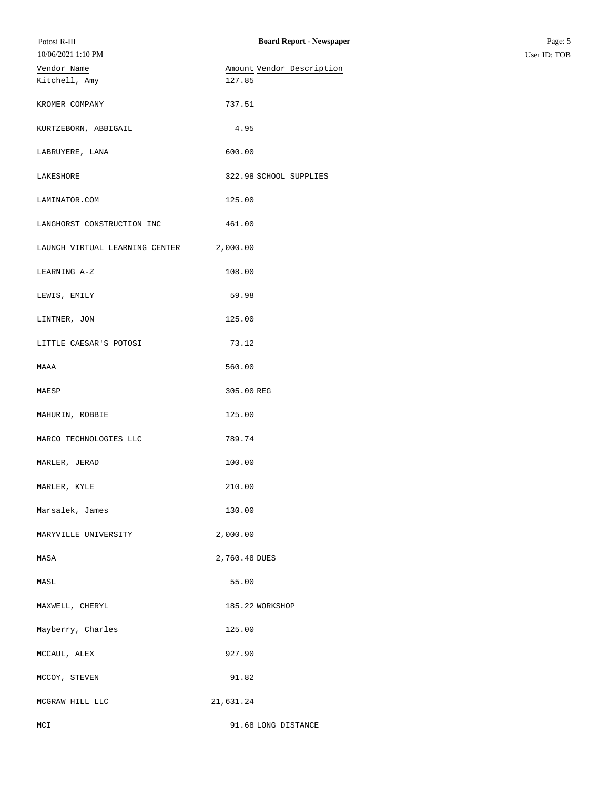| Potosi R-III                   | <b>Board Report - Newspaper</b> | Page: 5      |
|--------------------------------|---------------------------------|--------------|
| 10/06/2021 1:10 PM             |                                 | User ID: TOB |
| Vendor Name                    | Amount Vendor Description       |              |
| Kitchell, Amy                  | 127.85                          |              |
| KROMER COMPANY                 | 737.51                          |              |
| KURTZEBORN, ABBIGAIL           | 4.95                            |              |
| LABRUYERE, LANA                | 600.00                          |              |
| LAKESHORE                      | 322.98 SCHOOL SUPPLIES          |              |
| LAMINATOR.COM                  | 125.00                          |              |
| LANGHORST CONSTRUCTION INC     | 461.00                          |              |
| LAUNCH VIRTUAL LEARNING CENTER | 2,000.00                        |              |
| LEARNING A-Z                   | 108.00                          |              |
| LEWIS, EMILY                   | 59.98                           |              |
| LINTNER, JON                   | 125.00                          |              |
| LITTLE CAESAR'S POTOSI         | 73.12                           |              |
| MAAA                           | 560.00                          |              |
| MAESP                          | 305.00 REG                      |              |
| MAHURIN, ROBBIE                | 125.00                          |              |
| MARCO TECHNOLOGIES LLC         | 789.74                          |              |
| MARLER, JERAD                  | 100.00                          |              |
| MARLER, KYLE                   | 210.00                          |              |
| Marsalek, James                | 130.00                          |              |
| MARYVILLE UNIVERSITY           | 2,000.00                        |              |
| MASA                           | 2,760.48 DUES                   |              |
| MASL                           | 55.00                           |              |
| MAXWELL, CHERYL                | 185.22 WORKSHOP                 |              |
| Mayberry, Charles              | 125.00                          |              |
| MCCAUL, ALEX                   | 927.90                          |              |
| MCCOY, STEVEN                  | 91.82                           |              |
| MCGRAW HILL LLC                | 21,631.24                       |              |
| MCI                            | 91.68 LONG DISTANCE             |              |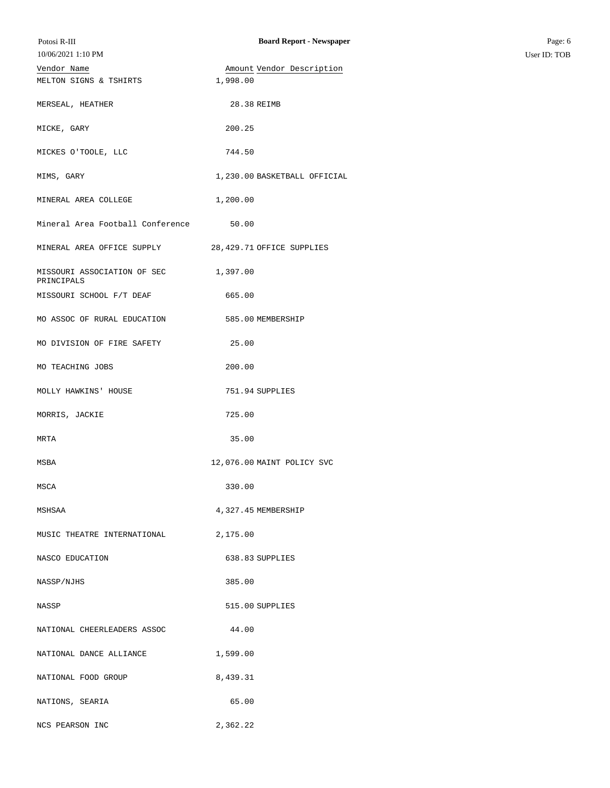| Potosi R-III<br>10/06/2021 1:10 PM                   | <b>Board Report - Newspaper</b>       | Page: 6<br>User ID: TOB |
|------------------------------------------------------|---------------------------------------|-------------------------|
| Vendor Name<br>MELTON SIGNS & TSHIRTS                | Amount Vendor Description<br>1,998.00 |                         |
| MERSEAL, HEATHER                                     | 28.38 REIMB                           |                         |
| MICKE, GARY                                          | 200.25                                |                         |
| MICKES O'TOOLE, LLC                                  | 744.50                                |                         |
| MIMS, GARY                                           | 1,230.00 BASKETBALL OFFICIAL          |                         |
| MINERAL AREA COLLEGE                                 | 1,200.00                              |                         |
| Mineral Area Football Conference                     | 50.00                                 |                         |
| MINERAL AREA OFFICE SUPPLY 28,429.71 OFFICE SUPPLIES |                                       |                         |
| MISSOURI ASSOCIATION OF SEC 1,397.00<br>PRINCIPALS   |                                       |                         |
| MISSOURI SCHOOL F/T DEAF                             | 665.00                                |                         |
| MO ASSOC OF RURAL EDUCATION                          | 585.00 MEMBERSHIP                     |                         |
| MO DIVISION OF FIRE SAFETY                           | 25.00                                 |                         |
| MO TEACHING JOBS                                     | 200.00                                |                         |
| MOLLY HAWKINS' HOUSE                                 | 751.94 SUPPLIES                       |                         |
| MORRIS, JACKIE                                       | 725.00                                |                         |
| MRTA                                                 | 35.00                                 |                         |
| MSBA                                                 | 12,076.00 MAINT POLICY SVC            |                         |
| MSCA                                                 | 330.00                                |                         |
| MSHSAA                                               | 4,327.45 MEMBERSHIP                   |                         |
| MUSIC THEATRE INTERNATIONAL                          | 2,175.00                              |                         |
| NASCO EDUCATION                                      | 638.83 SUPPLIES                       |                         |
| NASSP/NJHS                                           | 385.00                                |                         |
| NASSP                                                | 515.00 SUPPLIES                       |                         |
| NATIONAL CHEERLEADERS ASSOC                          | 44.00                                 |                         |
| NATIONAL DANCE ALLIANCE                              | 1,599.00                              |                         |
| NATIONAL FOOD GROUP                                  | 8,439.31                              |                         |
| NATIONS, SEARIA                                      | 65.00                                 |                         |
| NCS PEARSON INC                                      | 2,362.22                              |                         |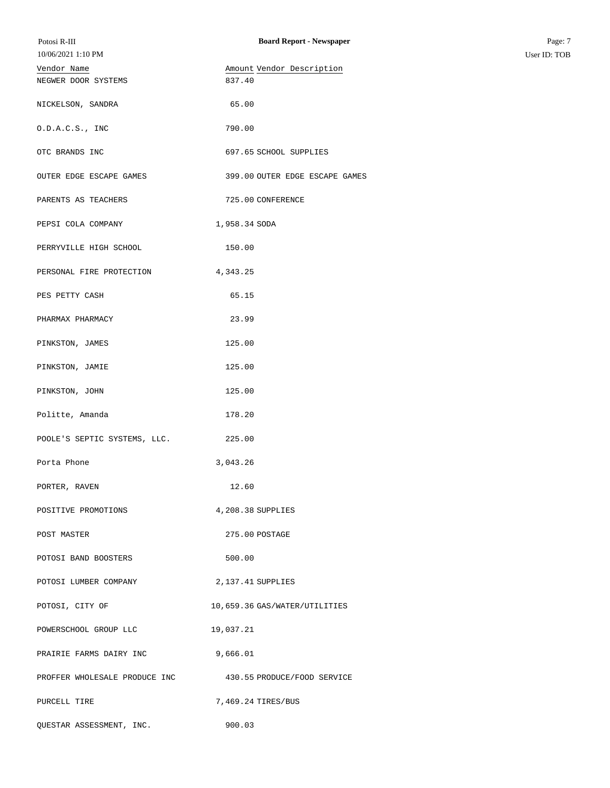| Potosi R-III<br>10/06/2021 1:10 PM | <b>Board Report - Newspaper</b>                           | Page: 7<br>User ID: TOB |
|------------------------------------|-----------------------------------------------------------|-------------------------|
| Vendor Name<br>NEGWER DOOR SYSTEMS | Amount Vendor Description<br>837.40                       |                         |
| NICKELSON, SANDRA                  | 65.00                                                     |                         |
| 0.D.A.C.S., INC                    | 790.00                                                    |                         |
| OTC BRANDS INC                     | 697.65 SCHOOL SUPPLIES                                    |                         |
| OUTER EDGE ESCAPE GAMES            | 399.00 OUTER EDGE ESCAPE GAMES                            |                         |
| PARENTS AS TEACHERS                | 725.00 CONFERENCE                                         |                         |
| PEPSI COLA COMPANY                 | 1,958.34 SODA                                             |                         |
| PERRYVILLE HIGH SCHOOL             | 150.00                                                    |                         |
| PERSONAL FIRE PROTECTION           | 4,343.25                                                  |                         |
| PES PETTY CASH                     | 65.15                                                     |                         |
| PHARMAX PHARMACY                   | 23.99                                                     |                         |
| PINKSTON, JAMES                    | 125.00                                                    |                         |
| PINKSTON, JAMIE                    | 125.00                                                    |                         |
| PINKSTON, JOHN                     | 125.00                                                    |                         |
| Politte, Amanda                    | 178.20                                                    |                         |
| POOLE'S SEPTIC SYSTEMS, LLC.       | 225.00                                                    |                         |
| Porta Phone                        | 3,043.26                                                  |                         |
| PORTER, RAVEN                      | 12.60                                                     |                         |
| POSITIVE PROMOTIONS                | 4,208.38 SUPPLIES                                         |                         |
| POST MASTER                        | 275.00 POSTAGE                                            |                         |
| POTOSI BAND BOOSTERS               | 500.00                                                    |                         |
| POTOSI LUMBER COMPANY              | 2,137.41 SUPPLIES                                         |                         |
| POTOSI, CITY OF                    | 10,659.36 GAS/WATER/UTILITIES                             |                         |
| POWERSCHOOL GROUP LLC              | 19,037.21                                                 |                         |
| PRAIRIE FARMS DAIRY INC            | 9,666.01                                                  |                         |
|                                    | PROFFER WHOLESALE PRODUCE INC 430.55 PRODUCE/FOOD SERVICE |                         |
| PURCELL TIRE                       | 7,469.24 TIRES/BUS                                        |                         |
| QUESTAR ASSESSMENT, INC.           | 900.03                                                    |                         |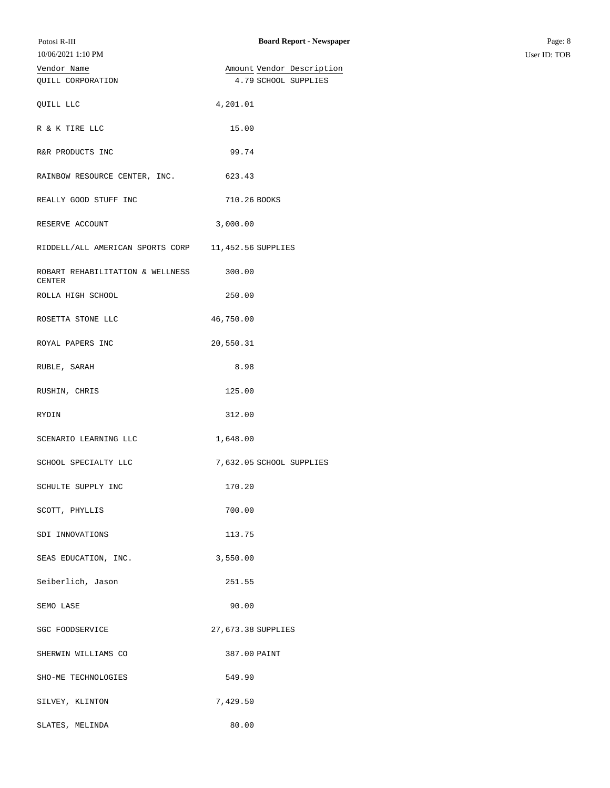| Potosi R-III<br>10/06/2021 1:10 PM                | <b>Board Report - Newspaper</b> | Page: 8<br>User ID: TOB |
|---------------------------------------------------|---------------------------------|-------------------------|
| Vendor Name                                       | Amount Vendor Description       |                         |
| QUILL CORPORATION                                 | 4.79 SCHOOL SUPPLIES            |                         |
| QUILL LLC                                         | 4,201.01                        |                         |
| R & K TIRE LLC                                    | 15.00                           |                         |
| R&R PRODUCTS INC                                  | 99.74                           |                         |
| RAINBOW RESOURCE CENTER, INC.                     | 623.43                          |                         |
| REALLY GOOD STUFF INC                             | 710.26 BOOKS                    |                         |
| RESERVE ACCOUNT                                   | 3,000.00                        |                         |
| RIDDELL/ALL AMERICAN SPORTS CORP                  | 11,452.56 SUPPLIES              |                         |
| ROBART REHABILITATION & WELLNESS<br><b>CENTER</b> | 300.00                          |                         |
| ROLLA HIGH SCHOOL                                 | 250.00                          |                         |
| ROSETTA STONE LLC                                 | 46,750.00                       |                         |
| ROYAL PAPERS INC                                  | 20,550.31                       |                         |
| RUBLE, SARAH                                      | 8.98                            |                         |
| RUSHIN, CHRIS                                     | 125.00                          |                         |
| RYDIN                                             | 312.00                          |                         |
| SCENARIO LEARNING LLC                             | 1,648.00                        |                         |
| SCHOOL SPECIALTY LLC                              | 7,632.05 SCHOOL SUPPLIES        |                         |
| SCHULTE SUPPLY INC                                | 170.20                          |                         |
| SCOTT, PHYLLIS                                    | 700.00                          |                         |
| SDI INNOVATIONS                                   | 113.75                          |                         |
| SEAS EDUCATION, INC.                              | 3,550.00                        |                         |
| Seiberlich, Jason                                 | 251.55                          |                         |
| SEMO LASE                                         | 90.00                           |                         |
| SGC FOODSERVICE                                   | 27,673.38 SUPPLIES              |                         |
| SHERWIN WILLIAMS CO                               | 387.00 PAINT                    |                         |
| SHO-ME TECHNOLOGIES                               | 549.90                          |                         |
| SILVEY, KLINTON                                   | 7,429.50                        |                         |
| SLATES, MELINDA                                   | 80.00                           |                         |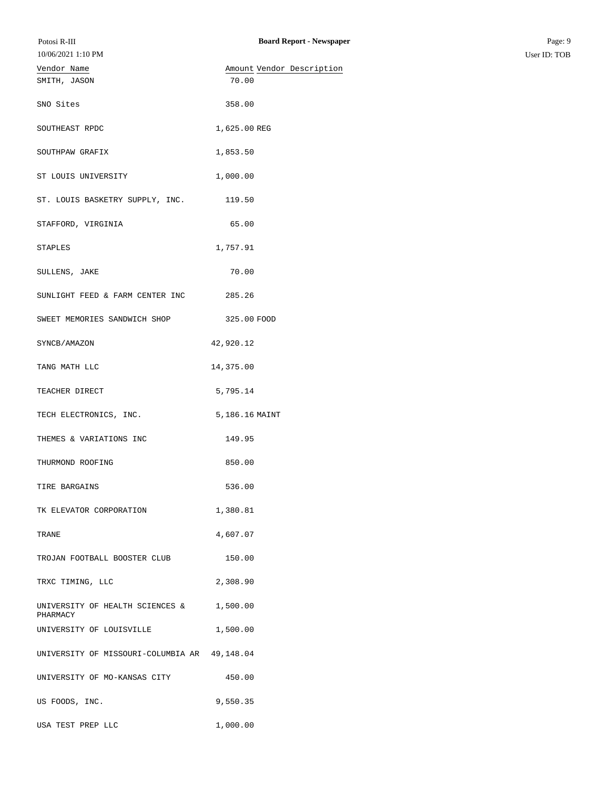| Potosi R-III                                 | <b>Board Report - Newspaper</b> | Page: 9      |
|----------------------------------------------|---------------------------------|--------------|
| 10/06/2021 1:10 PM                           |                                 | User ID: TOB |
| Vendor Name                                  | Amount Vendor Description       |              |
| SMITH, JASON                                 | 70.00                           |              |
| SNO Sites                                    | 358.00                          |              |
| SOUTHEAST RPDC                               | 1,625.00 REG                    |              |
| SOUTHPAW GRAFIX                              | 1,853.50                        |              |
| ST LOUIS UNIVERSITY                          | 1,000.00                        |              |
| ST. LOUIS BASKETRY SUPPLY, INC.              | 119.50                          |              |
| STAFFORD, VIRGINIA                           | 65.00                           |              |
| STAPLES                                      | 1,757.91                        |              |
| SULLENS, JAKE                                | 70.00                           |              |
| SUNLIGHT FEED & FARM CENTER INC              | 285.26                          |              |
| SWEET MEMORIES SANDWICH SHOP                 | 325.00 FOOD                     |              |
| SYNCB/AMAZON                                 | 42,920.12                       |              |
| TANG MATH LLC                                | 14,375.00                       |              |
| TEACHER DIRECT                               | 5,795.14                        |              |
| TECH ELECTRONICS, INC.                       | 5,186.16 MAINT                  |              |
| THEMES & VARIATIONS INC                      | 149.95                          |              |
| THURMOND ROOFING                             | 850.00                          |              |
| TIRE BARGAINS                                | 536.00                          |              |
| TK ELEVATOR CORPORATION                      | 1,380.81                        |              |
| TRANE                                        | 4,607.07                        |              |
| TROJAN FOOTBALL BOOSTER CLUB                 | 150.00                          |              |
| TRXC TIMING, LLC                             | 2,308.90                        |              |
| UNIVERSITY OF HEALTH SCIENCES &<br>PHARMACY  | 1,500.00                        |              |
| UNIVERSITY OF LOUISVILLE                     | 1,500.00                        |              |
| UNIVERSITY OF MISSOURI-COLUMBIA AR 49,148.04 |                                 |              |
| UNIVERSITY OF MO-KANSAS CITY                 | 450.00                          |              |
| US FOODS, INC.                               | 9,550.35                        |              |
| USA TEST PREP LLC                            | 1,000.00                        |              |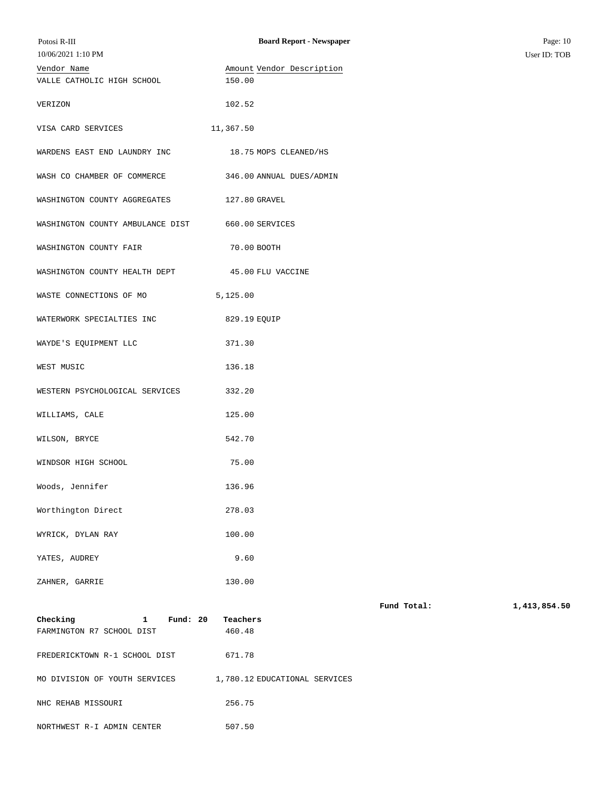| Potosi R-III<br>10/06/2021 1:10 PM                                  | <b>Board Report - Newspaper</b>     |             | Page: 10<br>User ID: TOB |
|---------------------------------------------------------------------|-------------------------------------|-------------|--------------------------|
| Vendor Name<br>VALLE CATHOLIC HIGH SCHOOL                           | Amount Vendor Description<br>150.00 |             |                          |
| VERIZON                                                             | 102.52                              |             |                          |
| VISA CARD SERVICES                                                  | 11,367.50                           |             |                          |
| WARDENS EAST END LAUNDRY INC                                        | 18.75 MOPS CLEANED/HS               |             |                          |
| WASH CO CHAMBER OF COMMERCE                                         | 346.00 ANNUAL DUES/ADMIN            |             |                          |
| WASHINGTON COUNTY AGGREGATES                                        | 127.80 GRAVEL                       |             |                          |
| WASHINGTON COUNTY AMBULANCE DIST                                    | 660.00 SERVICES                     |             |                          |
| WASHINGTON COUNTY FAIR                                              | 70.00 BOOTH                         |             |                          |
| WASHINGTON COUNTY HEALTH DEPT                                       | 45.00 FLU VACCINE                   |             |                          |
| WASTE CONNECTIONS OF MO                                             | 5,125.00                            |             |                          |
| WATERWORK SPECIALTIES INC                                           | 829.19 EQUIP                        |             |                          |
| WAYDE'S EQUIPMENT LLC                                               | 371.30                              |             |                          |
| WEST MUSIC                                                          | 136.18                              |             |                          |
| WESTERN PSYCHOLOGICAL SERVICES                                      | 332.20                              |             |                          |
| WILLIAMS, CALE                                                      | 125.00                              |             |                          |
| WILSON, BRYCE                                                       | 542.70                              |             |                          |
| WINDSOR HIGH SCHOOL                                                 | 75.00                               |             |                          |
| Woods, Jennifer                                                     | 136.96                              |             |                          |
| Worthington Direct                                                  | 278.03                              |             |                          |
| WYRICK, DYLAN RAY                                                   | 100.00                              |             |                          |
| YATES, AUDREY                                                       | 9.60                                |             |                          |
| ZAHNER, GARRIE                                                      | 130.00                              |             |                          |
| Checking<br>Fund: $20$<br>$\mathbf{1}$<br>FARMINGTON R7 SCHOOL DIST | Teachers<br>460.48                  | Fund Total: | 1,413,854.50             |
| FREDERICKTOWN R-1 SCHOOL DIST                                       | 671.78                              |             |                          |
| MO DIVISION OF YOUTH SERVICES                                       | 1,780.12 EDUCATIONAL SERVICES       |             |                          |

NHC REHAB MISSOURI 256.75

NORTHWEST R-I ADMIN CENTER 507.50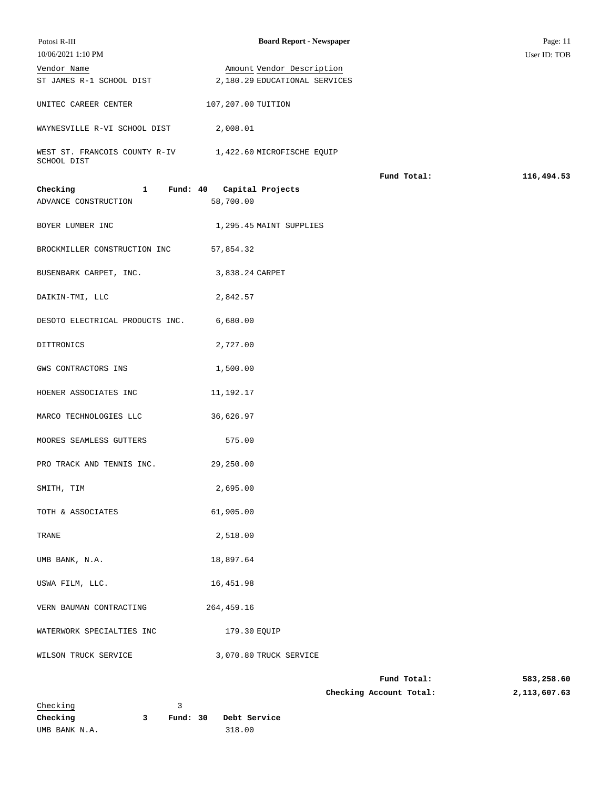| Potosi R-III                                                            | <b>Board Report - Newspaper</b>        |                         | Page: 11     |
|-------------------------------------------------------------------------|----------------------------------------|-------------------------|--------------|
| 10/06/2021 1:10 PM                                                      |                                        |                         | User ID: TOB |
| Vendor Name                                                             | Amount Vendor Description              |                         |              |
| ST JAMES R-1 SCHOOL DIST                                                | 2,180.29 EDUCATIONAL SERVICES          |                         |              |
| UNITEC CAREER CENTER                                                    | 107,207.00 TUITION                     |                         |              |
| WAYNESVILLE R-VI SCHOOL DIST 2,008.01                                   |                                        |                         |              |
| WEST ST. FRANCOIS COUNTY R-IV 1,422.60 MICROFISCHE EQUIP<br>SCHOOL DIST |                                        |                         |              |
|                                                                         |                                        | Fund Total:             | 116,494.53   |
| Checking<br>$\mathbf{1}$<br>ADVANCE CONSTRUCTION                        | Fund: 40 Capital Projects<br>58,700.00 |                         |              |
| BOYER LUMBER INC                                                        | 1,295.45 MAINT SUPPLIES                |                         |              |
| BROCKMILLER CONSTRUCTION INC                                            | 57,854.32                              |                         |              |
| BUSENBARK CARPET, INC.                                                  | 3,838.24 CARPET                        |                         |              |
| DAIKIN-TMI, LLC                                                         | 2,842.57                               |                         |              |
| DESOTO ELECTRICAL PRODUCTS INC. 6,680.00                                |                                        |                         |              |
| DITTRONICS                                                              | 2,727.00                               |                         |              |
| GWS CONTRACTORS INS                                                     | 1,500.00                               |                         |              |
| HOENER ASSOCIATES INC                                                   | 11,192.17                              |                         |              |
| MARCO TECHNOLOGIES LLC                                                  | 36,626.97                              |                         |              |
| MOORES SEAMLESS GUTTERS                                                 | 575.00                                 |                         |              |
| PRO TRACK AND TENNIS INC.                                               | 29,250.00                              |                         |              |
| SMITH, TIM                                                              | 2,695.00                               |                         |              |
| TOTH & ASSOCIATES                                                       | 61,905.00                              |                         |              |
| TRANE                                                                   | 2,518.00                               |                         |              |
| UMB BANK, N.A.                                                          | 18,897.64                              |                         |              |
| USWA FILM, LLC.                                                         | 16, 451.98                             |                         |              |
| VERN BAUMAN CONTRACTING                                                 | 264,459.16                             |                         |              |
| WATERWORK SPECIALTIES INC                                               | 179.30 EQUIP                           |                         |              |
| WILSON TRUCK SERVICE                                                    | 3,070.80 TRUCK SERVICE                 |                         |              |
|                                                                         |                                        | Fund Total:             | 583,258.60   |
|                                                                         |                                        | Checking Account Total: | 2,113,607.63 |
| Checking                                                                | 3                                      |                         |              |
| Checking<br>3                                                           | Fund: $30$<br>Debt Service             |                         |              |
| UMB BANK N.A.                                                           | 318.00                                 |                         |              |